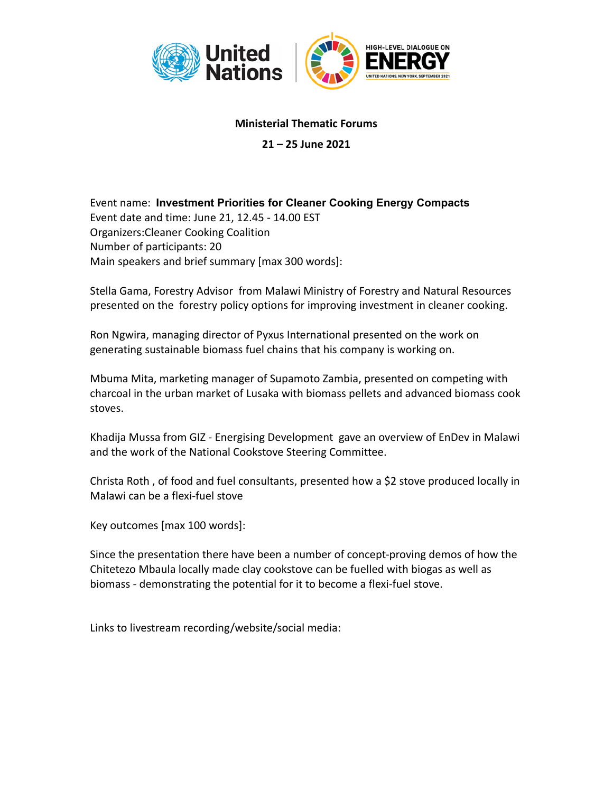

## **Ministerial Thematic Forums**

**21 – 25 June 2021**

Event name: **Investment Priorities for Cleaner Cooking Energy Compacts** Event date and time: June 21, 12.45 - 14.00 EST Organizers:Cleaner Cooking Coalition Number of participants: 20 Main speakers and brief summary [max 300 words]:

Stella Gama, Forestry Advisor from Malawi Ministry of Forestry and Natural Resources presented on the forestry policy options for improving investment in cleaner cooking.

Ron Ngwira, managing director of Pyxus International presented on the work on generating sustainable biomass fuel chains that his company is working on.

Mbuma Mita, marketing manager of Supamoto Zambia, presented on competing with charcoal in the urban market of Lusaka with biomass pellets and advanced biomass cook stoves.

Khadija Mussa from GIZ - Energising Development gave an overview of EnDev in Malawi and the work of the National Cookstove Steering Committee.

Christa Roth , of food and fuel consultants, presented how a \$2 stove produced locally in Malawi can be a flexi-fuel stove

Key outcomes [max 100 words]:

Since the presentation there have been a number of concept-proving demos of how the Chitetezo Mbaula locally made clay cookstove can be fuelled with biogas as well as biomass - demonstrating the potential for it to become a flexi-fuel stove.

Links to livestream recording/website/social media: